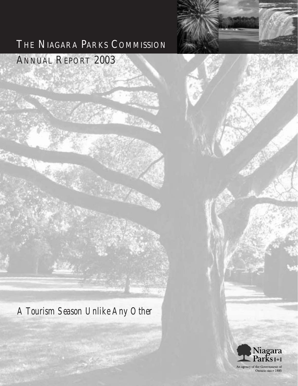# THE NIAGARA PARKS COMMISSION

# ANNUAL REPORT 2003

*A Tourism Season Unlike Any Other* 



Ontario since 1885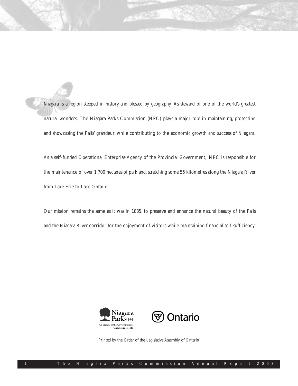Niagara is a region steeped in history and blessed by geography. As steward of one of the world's greatest natural wonders, The Niagara Parks Commission (NPC) plays a major role in maintaining, protecting and showcasing the Falls' grandeur, while contributing to the economic growth and success of Niagara.

As a self-funded Operational Enterprise Agency of the Provincial Government, NPC is responsible for the maintenance of over 1,700 hectares of parkland, stretching some 56 kilometres along the Niagara River from Lake Erie to Lake Ontario.

Our mission remains the same as it was in 1885, to preserve and enhance the natural beauty of the Falls and the Niagara River corridor for the enjoyment of visitors while maintaining financial self-sufficiency.





Printed by the Order of the Legislative Assembly of Ontario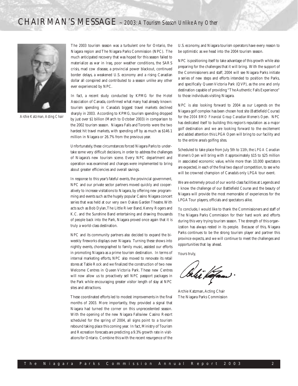

*Archie Katzman,Acting Chair*

The 2003 tourism season was a turbulent one for Ontario, the Niagara region and The Niagara Parks Commission (NPC). The much anticipated recovery that was hoped for this season failed to materialize as war in Iraq, poor weather conditions, the SARS crisis, mad cow disease, a provincial power blackout, continued border delays, a weakened U.S. economy and a rising Canadian dollar all conspired and contributed to a season unlike any other ever experienced by NPC.

In fact, a recent study conducted by KPMG for the Hotel Association of Canada, confirmed what many had already known: tourism spending in Canada's biggest travel markets declined sharply in 2003. According to KPMG, tourism spending dropped by just over \$1 billion (March to October 2003) in comparison to the 2002 tourism season. Niagara Falls and Toronto were the two hardest hit travel markets, with spending off by as much as \$146.1 million in Niagara or 26.7% from the previous year.

Unfortunately, these circumstances forced Niagara Parks to undertake some very difficult decisions, in order to address the challenges of Niagara's new tourism scene. Every NPC department and operation was examined and changes were implemented to bring about greater efficiencies and overall savings.

In response to this year's fateful events, the provincial government, NPC and our private sector partners moved quickly and cooperatively to increase visitations to Niagara, by offering new programming and events such as the hugely popular Casino Niagara concert series that was held at our very own Oakes Garden Theatre. With acts such as Bob Dylan,The Little River Band, Kenny Rogers and K.C. and the Sunshine Band entertaining and drawing thousands of people back into the Park, Niagara proved once again that it is truly a world-class destination.

NPC and its community partners also decided to expand the biweekly fireworks displays over Niagara. Turning these shows into nightly events, choreographed to family music, assisted our efforts in promoting Niagara as a prime tourism destination. In terms of internal marketing efforts, NPC also moved to renovate its retail stores at Table Rock and we finalized the construction of two new Welcome Centres in Queen Victoria Park. These new Centres will now allow us to proactively sell NPC passport packages in the Park while encouraging greater visitor length of stay at NPC sites and attractions.

These coordinated efforts led to modest improvements in the final months of 2003. More importantly, they provided a signal that Niagara had turned the corner on this unprecedented season. With the opening of the new Niagara Fallsview Casino Resort scheduled for the spring of 2004, all signs point to a tourism rebound taking place this coming year. In fact, Ministry of Tourism and Recreation forecasts are predicting a 9.3% growth rate in visitations for Ontario. Combine this with the recent resurgence of the U.S. economy, and Niagara tourism operators have every reason to be optimistic as we head into the 2004 tourism season.

NPC is positioning itself to take advantage of this growth while also preparing for the challenges that it will bring. With the support of the Commissioners and staff, 2004 will see Niagara Parks initiate a series of new steps and efforts intended to position the Parks, and specifically Queen Victoria Park (QVP), as the one and only destination capable of providing "The Authentic Falls Experience" to those individuals visiting Niagara.

NPC is also looking forward to 2004 as our Legends on the Niagara golf complex has been chosen host site (Battlefield Course) for the *2004 BMO Financial Group Canadian Women's Open*. NPC has dedicated itself to building this region's reputation as a major golf destination and we are looking forward to the excitement and added attention this LPGA Open will bring to our facility and to the entire area's golfing sites.

Scheduled to take place from July 5th to 11th, the *LPGA Canadian Women's Open* will bring with it approximately \$15 to \$25 million in associated economic value, while more than 10,000 spectators are expected, in each of the final two days of competition, to see who will be crowned champion of Canada's only LPGA tour event.

We are extremely proud of our world-class facilities at Legends and I know the challenge of our Battlefield Course and the beauty of Niagara will provide the most memorable of experiences for the LPGA Tour players, officials and spectators alike.

To conclude, I would like to thank the Commissioners and staff of The Niagara Parks Commission for their hard work and efforts during this very trying tourism season. The strength of this organization has always rested in its people. Because of this, Niagara Parks continues to be the strong tourism player and partner this province expects, and we will continue to meet the challenges and opportunities that lay ahead.

Yours truly,

lahi kafaan

Archie Katzman, Acting Chair The Niagara Parks Commission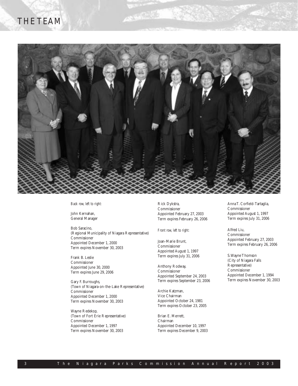## THE TEAM



**NATIONAL PROPERTY** 

*Back row, left to right:*

John Kernahan, General Manager

Bob Saracino, (Regional Municipality of Niagara Representative) Commissioner Appointed December 1, 2000 Term expires November 30, 2003

Frank B. Leslie Commissioner Appointed June 30, 2000 Term expires June 29, 2006

Gary F. Burroughs, (Town of Niagara-on-the-Lake Representative) Commissioner Appointed December 1, 2000 Term expires November 30, 2003

Wayne Redekop, (Town of Fort Erie Representative) Commissioner Appointed December 1, 1997 Term expires November 30, 2003

Rick Dykstra, Commissioner Appointed February 27, 2003 Term expires February 26, 2006

*Front row, left to right:*

Joan-Marie Brunt, Commissioner Appointed August 1, 1997 Term expires July 31, 2006

Anthony Rodway, Commissioner Appointed September 24, 2003 Term expires September 23, 2006

Archie Katzman, Vice Chairman Appointed October 24, 1981 Term expires October 23, 2005

Brian E. Merrett, Chairman Appointed December 10, 1997 Term expires December 9, 2003 Anna T. Corfield-Tartaglia, Commissioner Appointed August 1, 1997 Term expires July 31, 2006

Alfred Liu, Commissioner Appointed February 27, 2003 Term expires February 26, 2006

S.Wayne Thomson (City of Niagara Falls Representative) Commissioner Appointed December 1, 1994 Term expires November 30, 2003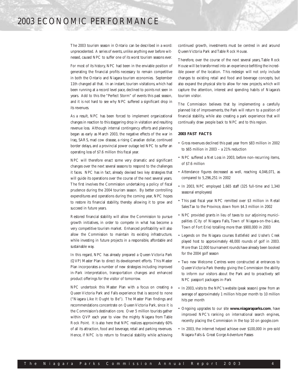The 2003 tourism season in Ontario can be described in a word: unprecedented. A series of events, unlike anything ever before witnessed, caused NPC to suffer one of its worst tourism seasons ever.

For most of its history, NPC had been in the enviable position of generating the financial profits necessary to remain competitive in both the Ontario and Niagara tourism economies. September 11th changed all that. In an instant, tourism visitations, which had been running at a record level pace, declined to points not seen in years. Add to this the "Perfect Storm" of events this past season, and it is not hard to see why NPC suffered a significant drop in its revenues.

As a result, NPC has been forced to implement organizational changes in reaction to this staggering drop in visitation and resulting revenue loss. Although internal contingency efforts and planning began as early as March 2003, the negative effects of the war in Iraq, SARS, mad cow disease, a rising Canadian dollar, continued border delays, and a provincial power outage led NPC to suffer an operating loss of \$7.6 million this fiscal year.

NPC will therefore enact some very dramatic and significant changes over the next several seasons to respond to the challenges it faces. NPC has in fact, already devised two key strategies that will guide its operations over the course of the next several years. The first involves the Commission undertaking a policy of fiscal prudence during the 2004 tourism season. By better controlling expenditures and operations during the coming year, NPC hopes to restore its financial stability, thereby allowing it to grow and succeed in future years.

Restored financial stability will allow the Commission to pursue growth initiatives, in order to compete in what has become a very competitive tourism market. Enhanced profitability will also allow the Commission to maintain its existing infrastructure, while investing in future projects in a responsible, affordable and sustainable way.

In this regard, NPC has already prepared a Queen Victoria Park (QVP) Master Plan to direct its development efforts. This Master Plan incorporates a number of new strategies including improved in-Park interpretation, transportation changes and enhanced product offerings for the visitor of tomorrow.

NPC undertook this Master Plan with a focus on creating a Queen Victoria Park and Falls experience that is second to none ("Niagara Like It Ought to Be"). The Master Plan findings and recommendations concentrate on Queen Victoria Park, since it is the Commission's destination core. Over 5 million tourists gather within QVP each year to view the mighty Niagara from Table Rock Point. It is also here that NPC realizes approximately 60% of all its attraction, food and beverage, retail and parking revenues. Hence, if NPC is to return to financial stability while achieving continued growth, investments must be centred in and around Queen Victoria Park and Table Rock House.

Therefore, over the course of the next several years, Table Rock House will be transformed into an experience befitting the incredible power of the location. This redesign will not only include changes to existing retail and food and beverage concepts, but also expand the physical site to allow for new projects, which will capture the attention, interest and spending habits of Niagara's tourism visitor.

The Commission believes that by implementing a carefully planned list of improvements, the Park will return to a position of financial stability, while also creating a park experience that will continually draw people back to NPC and to this region.

## **2003 FAST FACTS**

- Gross revenues declined this past year from \$83 million in 2002 to \$65 million in 2003 – a 21% reduction
- NPC suffered a Net Loss in 2003, before non-recurring items, of \$7.6 million
- Attendance figures decreased as well, reaching 4,046,071, as compared to 5,296,251 in 2002
- In 2003, NPC employed 1,665 staff (325 full-time and 1,340 seasonal employees)
- This past fiscal year NPC remitted over \$3 million in Retail Sales Tax to the Province, down from \$4.3 million in 2002
- NPC provided grants in lieu of taxes to our adjoining municipalities (City of Niagara Falls, Town of Niagara-on-the-Lake, Town of Fort Erie) totalling more than \$900,000 in 2003
- Legends on the Niagara courses *Battlefield* and *Ussher's Creek* played host to approximately 48,000 rounds of golf in 2003. More than 12,000 tournament rounds have already been booked for the 2004 golf season
- Two new Welcome Centres were constructed at entrances to Queen Victoria Park thereby giving the Commission the ability to inform our visitors about the Park and to proactively sell NPC passport packages in-Park
- In 2003, visits to the NPC's website (peak season) grew from an average of approximately 1 million hits per month to 10 million hits per month
- Ongoing upgrades to our site **www.niagaraparks.com**, have improved NPC's ranking on international search engines, recently placing the Commission in the top 10 on google.com
- In 2003, the internet helped achieve over \$100,000 in pre-sold Niagara Falls & Great Gorge Adventure Passes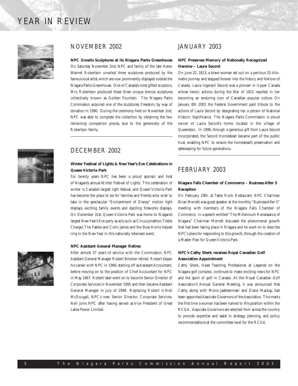## YEAR IN REVIEW





## NOVEMBER 2002

**NPC Unveils Sculptures at its Niagara Parks Greenhouse** On Saturday November 2nd, NPC and family of the late Helen Waimel Robertson unveiled three sculptures produced by the famous local artist, which are now prominently displayed outside the Niagara Parks Greenhouse. One of Canada's most gifted sculptors, Mrs. Robertson produced these three unique bronze sculptures collectively known as Golden Fountain. The Niagara Parks Commission acquired one of the sculptures, Freedom, by way of donation in 1990. During the ceremony held on November 2nd, NPC was able to complete the collection by obtaining the two remaining companion pieces, due to the generosity of the Robertson family.

## DECEMBER 2002

## **Winter Festival of Lights & New Year's Eve Celebrations in Queen Victoria Park**

For twenty years NPC has been a proud sponsor and host of Niagara's annual Winter Festival of Lights. This celebration of winter is Canada's largest light festival, and Queen Victoria Park has become the place to be for families and friends who wish to take in the spectacular "Enchantment of Disney" motion light displays, exciting family events and dazzling fireworks displays. On December 31st, Queen Victoria Park was home to Niagara's largest New Year's Eve party as acts such as Circus Jonathon,Treble Charger,The Fables and Colin James and the Boss Horns helped ring in the New Year in this nationally televised event.

### **NPC Assistant General Manager Retires**

After almost 37 years of service with the Commission, NPC Assistant General Manager Robert Brooker retired. Robert began his career with NPC in 1966, starting off as Assistant Accountant, before moving on to the position of Chief Accountant for NPC in May 1967. Robert later went on to become Senior Director of Corporate Services in November 1995 and then became Assistant General Manager in July of 1998. Replacing Robert is Neil McDougall, NPC's new Senior Director, Corporate Services. Neil joins NPC after having served as Vice President of Great Lakes Power Limited.

## JANUARY 2003

## **NPC Preserves Memory of Nationally Recognized Heroine – Laura Secord**

On June 22, 1813, a brave woman set out on a perilous 32-kilometre journey and stepped forever into the history and folklore of Canada. Laura Ingersoll Secord was a pioneer in Upper Canada whose heroic actions during the War of 1812 resulted in her becoming an enduring icon of Canadian popular culture. On January 8th 2003 the Federal Government paid tribute to the actions of Laura Secord by designating her a person of National Historic Significance. The Niagara Parks Commission is proud owner of Laura Secord's home, located in the village of Queenston. In 1998, through a generous gift from Laura Secord Incorporated, the Secord Homestead became part of the public trust, enabling NPC to ensure the homestead's preservation and safekeeping for future generations.

## FEBRUARY 2003

## **Niagara Falls Chamber of Commerce – Business After 5 Reception**

On February 19th, at Table Rock Restaurant, NPC Chairman Brian Merrett was guest speaker at the monthly "Business After 5" meeting with members of the Niagara Falls Chamber of Commerce. In a speech entitled "The Millennium Renaissance of Niagara," Chairman Merrett discussed the phenomenal growth that had been taking place in Niagara and he went on to describe NPC's plans for responding to this growth, through the creation of a Master Plan for Queen Victoria Park.

## **NPC's Cathy Sherk receives Royal Canadian Golf Association Appointment**

Cathy Sherk, Head Teaching Professional at Legends on the Niagara golf complex, continues to make exciting news for NPC and the sport of golf in Canada. At the Royal Canadian Golf Association's Annual General Meeting, it was announced that Cathy, along with Moira Jaatteenmaki and Diane Mackay, had been appointed Associate Governors of the Association. This marks the first time a woman has been named to this position within the RCGA. Associate Governors are selected from across the country to provide expertise and assist in strategy, planning, and policy recommendations at the committee level for the RCGA.

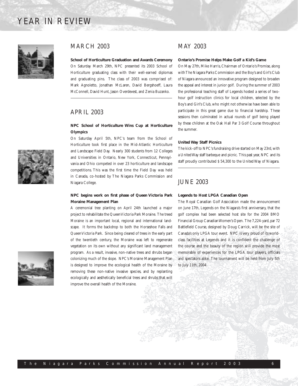## YEAR IN REVIEW



## MARCH 2003

**School of Horticulture Graduation and Awards Ceremony** On Saturday March 29th, NPC presented its 2003 School of Horticulture graduating class with their well-earned diplomas and graduating pins. The class of 2003 was comprised of: Mark Agnoletto, Jonathan McLaren, David Bergshoeff, Laura McConnell, David Hunt, Jason Overdevest, and Zenia Buzanko.

## APRIL 2003

## **NPC School of Horticulture Wins Cup at Horticulture Olympics**

On Saturday April 5th, NPC's team from the School of Horticulture took first place in the Mid-Atlantic Horticulture and Landscape Field Day. Nearly 300 students from 12 Colleges and Universities in Ontario, New York, Connecticut, Pennsylvania and Ohio competed in over 23 horticulture and landscape competitions. This was the first time the Field Day was held in Canada, co-hosted by The Niagara Parks Commission and Niagara College.

## **NPC begins work on first phase of Queen Victoria Park Moraine Management Plan**

A ceremonial tree planting on April 24th launched a major project to rehabilitate the Queen Victoria Park Moraine. The treed Moraine is an important local, regional and international landscape. It forms the backdrop to both the Horseshoe Falls and Queen Victoria Park. Since being cleared of trees in the early part of the twentieth century, the Moraine was left to regenerate vegetation on its own without any significant land management program. As a result, invasive, non-native trees and shrubs began colonizing much of the slope. NPC's Moraine Management Plan is designed to improve the ecological health of the Moraine by removing these non-native invasive species, and by replanting ecologically and aesthetically beneficial trees and shrubs that will improve the overall health of the Moraine.

## MAY 2003

#### **Ontario's Promise Helps Make Golf a Kid's Game**

On May 27th, Mike Harris, Chairman of Ontario's Promise, along with The Niagara Parks Commission and the Boy's and Girl's Club of Niagara announced an innovative program designed to broaden the appeal and interest in junior golf. During the summer of 2003 the professional teaching staff of Legends hosted a series of twohour golf instruction clinics for local children, selected by the Boy's and Girl's Club, who might not otherwise have been able to participate in this great game due to financial hardship. These sessions then culminated in actual rounds of golf being played by these children at the Oak Hall Par 3 Golf Course throughout the summer.

#### **United Way Staff Picnics**

The kick-off to NPC's fundraising drive started on May 23rd, with a United Way staff barbeque and picnic. This past year, NPC and its staff proudly contributed \$ 54,300 to the United Way of Niagara.

## JUNE 2003

#### **Legends to Host LPGA Canadian Open**

The Royal Canadian Golf Association made the announcement on June 17th, Legends on the Niagara's first anniversary, that the golf complex had been selected host site for the 2004 BMO Financial Group Canadian Women's Open. The 7,224-yard, par 72 Battlefield Course, designed by Doug Carrick, will be the site of Canada's only LPGA tour event. NPC is very proud of its worldclass facilities at Legends and it is confident the challenge of the course and the beauty of the region will provide the most memorable of experiences for the LPGA tour players, officials and spectators alike. The tournament will be held from July 5th to July 11th, 2004.

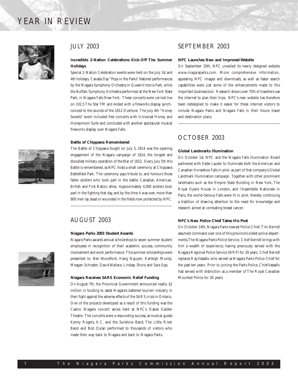## YEAR IN REVIEW



## JULY 2003

## **Incredible 2-Nation Celebrations Kick-Off The Summer Holidays**

Special 2-Nation Celebration events were held on the July 1st and 4th holidays. Canada Day "Pops in the Parks" featured performances by the Niagara Symphony Orchestra in Queen Victoria Park, while the Buffalo Symphony Orchestra performed at the New York State Park, in Niagara Falls New York. These concerts were carried live on 102.5 The Star FM and ended with a fireworks display synchronized to the sounds of the 1812 Overture. The July 4th "Honey Sweets" event included free concerts with Universal Honey and Honeymoon Suite and concluded with another spectacular musical fireworks display over Niagara Falls.

#### **Battle of Chippawa Remembered**

The Battle of Chippawa fought on July 5, 1814 was the opening engagement of the Niagara campaign of 1814, the longest and bloodiest military operation of the War of 1812. Every July 5th this Battle is remembered, as NPC hosts a small ceremony at Chippawa Battlefield Park. The ceremony pays tribute to, and honours those fallen soldiers who took part in the battle: Canadian, American, British and First Nation allies. Approximately 4,000 soldiers took part in the fighting that day, and by the time it was over, more than 800 men lay dead or wounded in the fields now protected by NPC.

## AUGUST 2003

### **Niagara Parks 2003 Student Awards**

Niagara Parks awards annual scholarships to seven summer student employees in recognition of their academic success, community involvement and work performance. This summer scholarships were presented to: Ben Woodford, Hang Nguyen, Karleigh Mundy, Meagan Schrader, David Wallace, Lindsay Shura and Sara Epp.

#### **Niagara Receives SARS Economic Relief Funding**

On August 7th, the Provincial Government announced nearly \$2 million in funding to assist Niagara's battered tourism industry in their fight against the adverse effects of the SARS crisis in Ontario. One of the projects developed as a result of this funding was the Casino Niagara concert series held at NPC's Oakes Garden Theatre. The concerts were a resounding success, as musical guests Kenny Rogers, K.C. and the Sunshine Band, The Little River Band and Bob Dylan performed to thousands of visitors who made their way back to Niagara and back to Niagara Parks.

## SEPTEMBER 2003

#### **NPC Launches New and Improved Website**

On September 10th, NPC unveiled its newly designed website www.niagaraparks.com. More comprehensive information, appealing NPC images and downloads, as well as faster search capabilities were just some of the enhancements made to this important business tool. Research shows over 70% of travellers use the internet to plan their trips. NPC's new website has therefore been redesigned to make it easier for these internet visitors to include Niagara Parks and Niagara Falls in their future travel and destination plans.

## OCTOBER 2003

### **Global Landmarks Illumination**

On October 1st, NPC and the Niagara Falls Illumination Board partnered with Estée Lauder to illuminate both the American and Canadian Horseshoe Falls in pink, as part of that company's Global Landmark Illumination campaign. Together with other prominent landmarks such as the Empire State Building in New York, The Royal Opera House in London, and l'Assemblée Nationale in Paris, the world-famous Falls were lit in pink, thereby continuing a tradition of drawing attention to the need for knowledge and research aimed at combating breast cancer.

## **NPC's New Police Chief Takes His Post**

On October 14th, Niagara Parks newest Police Chief,Tim Berndt assumed command over one of this province's oldest police departments,The Niagara Parks Police Service. Chief Berndt brings with him a wealth of experience, having previously served with the Niagara Regional Police Service (NRP) for 28 years. Chief Berndt replaces Ray Vassallo who served as Niagara Parks Police Chief for the past ten years. Prior to joining the Parks Police, Chief Vassallo had served with distinction as a member of The Royal Canadian Mounted Police for 26 years.

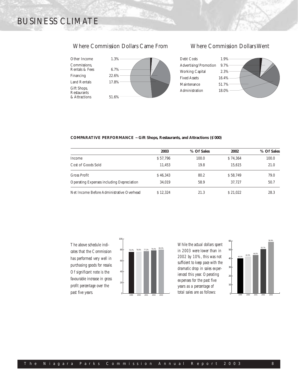# BUSINESS CLIMATE

## Where Commission Dollars Came From Where Commission Dollars Went







### **COMPARATIVE PERFORMANCE ~ Gift Shops, Restaurants, and Attractions (\$`000)**

|                                                  | 2003     | % Of Sales | 2002     | % Of Sales |
|--------------------------------------------------|----------|------------|----------|------------|
| Income                                           | \$57.796 | 100.0      | \$74,364 | 100.0      |
| Cost of Goods Sold                               | 11.453   | 19.8       | 15.615   | 21.0       |
| Gross Profit                                     | \$46.343 | 80.2       | \$58.749 | 79.0       |
| <b>Operating Expenses including Depreciation</b> | 34.019   | 58.9       | 37.727   | 50.7       |
| Net Income Before Administrative Overhead        | \$12.324 | 21.3       | \$21.022 | 28.3       |

*The above schedule indicates that the Commission has performed very well in purchasing goods for resale. Of significant note is the favourable increase in gross profit percentage over the past five years.*



*While the actual dollars spent in 2003 were lower than in 2002 by 10%, this was not sufficient to keep pace with the dramatic drop in sales experienced this year. Operating expenses for the past five years as a percentage of total sales are as follows:*

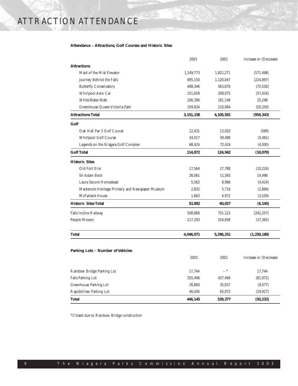## **Attendance – Attractions, Golf Courses and Historic Sites**

|                                                  | 2003      | 2002      | Increase or (Decrease) |
|--------------------------------------------------|-----------|-----------|------------------------|
| <b>Attractions</b>                               |           |           |                        |
| Maid of the Mist Elevator                        | 1,249,773 | 1,821,271 | (571, 498)             |
| Journey Behind the Falls                         | 895,150   | 1,120,047 | (224, 897)             |
| <b>Butterfly Conservatory</b>                    | 488,346   | 563,876   | (75, 530)              |
| Whirlpool Aero Car                               | 151,659   | 209,075   | (57, 416)              |
| White Water Walk                                 | 206,396   | 181,148   | 25,248                 |
| Greenhouse-Queen Victoria Park                   | 159,834   | 210,084   | (50, 250)              |
| <b>Attractions Total</b>                         | 3,151,158 | 4,105,501 | (954, 343)             |
| Golf                                             |           |           |                        |
| Oak Hall Par 3 Golf Course                       | 12,431    | 13,020    | (589)                  |
| Whirlpool Golf Course                            | 34,017    | 39,498    | (5, 481)               |
| Legends on the Niagara Golf Complex              | 68,424    | 72,424    | (4,000)                |
| <b>Golf Total</b>                                | 114,872   | 124,942   | (10,070)               |
| <b>Historic Sites</b>                            |           |           |                        |
| Old Fort Erie                                    | 17,564    | 27,788    | (10, 224)              |
| Sir Adam Beck                                    | 26,061    | 11,565    | 14,496                 |
| Laura Secord Homestead                           | 5,562     | 9,986     | (4, 424)               |
| Mackenzie Heritage Printery and Newspaper Museum | 2,832     | 5,716     | (2,884)                |
| McFarland House                                  | 1,863     | 4,972     | (3, 109)               |
| <b>Historic Sites Total</b>                      | 53,882    | 60,027    | (6, 145)               |
| Falls Incline Railway                            | 508,866   | 751,123   | (242, 257)             |
| People Movers                                    | 217,293   | 254,658   | (37, 365)              |
| <b>Total</b>                                     | 4,046,071 | 5,296,251 | (1, 250, 180)          |
| Parking Lots - Number of Vehicles                |           |           |                        |
|                                                  | 2003      | 2002      | Increase or (Decrease) |
| Rainbow Bridge Parking Lot                       | 17,744    | $-$ *     | 17,744                 |
| Falls Parking Lot                                | 355,496   | 437,468   | (81, 972)              |
| Greenhouse Parking Lot                           | 26,860    | 35,937    | (9,077)                |
| Rapids View Parking Lot                          | 46,045    | 65,972    | (19, 927)              |
| <b>Total</b>                                     | 446,145   | 539,377   | (93, 232)              |

\*Closed due to Rainbow Bridge construction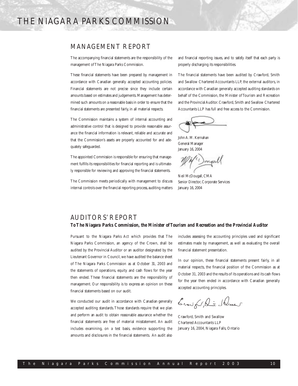## THE NIAGARA PARKS COMMISSION

## MANAGEMENT REPORT

The accompanying financial statements are the responsibility of the management of The Niagara Parks Commission.

These financial statements have been prepared by management in accordance with Canadian generally accepted accounting policies. Financial statements are not precise since they include certain amounts based on estimates and judgements.Management has determined such amounts on a reasonable basis in order to ensure that the financial statements are presented fairly, in all material respects.

The Commission maintains a system of internal accounting and administrative control that is designed to provide reasonable assurance the financial information is relevant, reliable and accurate and that the Commission's assets are properly accounted for and adequately safeguarded.

The appointed Commission is responsible for ensuring that management fulfills its responsibilities for financial reporting and is ultimately responsible for reviewing and approving the financial statements.

The Commission meets periodically with management to discuss internal controls over the financial reporting process, auditing matters and financial reporting issues, and to satisfy itself that each party is properly discharging its responsibilities.

The financial statements have been audited by Crawford, Smith and Swallow Chartered Accountants LLP, the external auditors, in accordance with Canadian generally accepted auditing standards on behalf of the Commission, the Minister of Tourism and Recreation and the Provincial Auditor.Crawford,Smith and Swallow Chartered Accountants LLP has full and free access to the Commission.

John A. M. Kernahan General Manager January 16, 2004

Dongal

Neil McDougall, CMA Senior Director, Corporate Services January 16, 2004

## AUDITORS' REPORT *ToThe Niagara Parks Commission, the Minister of Tourism and Recreation and the Provincial Auditor*

Pursuant to the Niagara Parks Act which provides that The Niagara Parks Commission, an agency of the Crown, shall be audited by the Provincial Auditor or an auditor designated by the Lieutenant Governor in Council, we have audited the balance sheet of The Niagara Parks Commission as at October 31, 2003 and the statements of operations, equity and cash flows for the year then ended. These financial statements are the responsibility of management. Our responsibility is to express an opinion on these financial statements based on our audit.

We conducted our audit in accordance with Canadian generally accepted auditing standards.Those standards require that we plan and perform an audit to obtain reasonable assurance whether the financial statements are free of material misstatement. An audit includes examining, on a test basis, evidence supporting the amounts and disclosures in the financial statements. An audit also includes assessing the accounting principles used and significant estimates made by management, as well as evaluating the overall financial statement presentation.

In our opinion, these financial statements present fairly, in all material respects, the financial position of the Commission as at October 31, 2003 and the results of its operations and its cash flows for the year then ended in accordance with Canadian generally accepted accounting principles.

Crowfor, ant Ducent

Crawford, Smith and Swallow Chartered Accountants LLP January 16, 2004, Niagara Falls, Ontario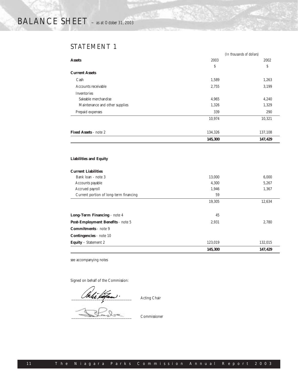## STATEMENT 1

|                                |         | (In thousands of dollars) |
|--------------------------------|---------|---------------------------|
| <b>Assets</b>                  | 2003    | 2002                      |
|                                | \$      | S                         |
| <b>Current Assets</b>          |         |                           |
| Cash                           | 1,589   | 1,263                     |
| Accounts receivable            | 2,755   | 3,199                     |
| Inventories                    |         |                           |
| Saleable merchandise           | 4,965   | 4,240                     |
| Maintenance and other supplies | 1,326   | 1,329                     |
| Prepaid expenses               | 339     | 290                       |
|                                | 10,974  | 10,321                    |
| <b>Fixed Assets - note 2</b>   | 134,326 | 137,108                   |
|                                | 145,300 | 147,429                   |

## **Liabilities and Equity**

## **Current Liabilities**

|                                        | 145,300 | 147,429 |
|----------------------------------------|---------|---------|
| <b>Equity</b> – Statement 2            | 123,019 | 132,015 |
| <b>Contingencies</b> - note 10         |         |         |
| <b>Commitments</b> - note 9            |         |         |
| Post-Employment Benefits - note 5      | 2,931   | 2,780   |
| Long-Term Financing - note 4           | 45      |         |
|                                        |         |         |
|                                        | 19,305  | 12,634  |
| Current portion of long-term financing | 59      |         |
| Accrued payroll                        | 1,946   | 1,367   |
| Accounts payable                       | 4,300   | 5,267   |
| Bank loan - note 3                     | 13.000  | 6.000   |
|                                        |         |         |

see accompanying notes

Signed on behalf of the Commission:

 $\overline{\mathcal{L}_{\mathcal{M}}\mathcal{L}_{\mathcal{M}}\cdot\qquad \qquad \textrm{Acting Chair}}$ 

\_\_\_\_\_\_\_\_\_\_\_\_\_\_\_\_\_\_\_\_\_\_\_\_\_\_\_\_\_\_\_ Commissioner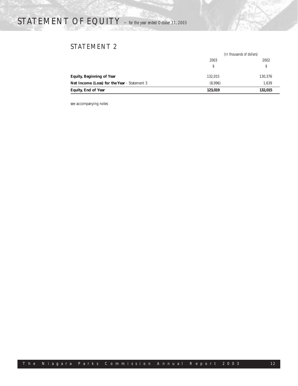# STATEMENT OF EQUITY *<sup>~</sup> for the year ended October 31, 2003*

## STATEMENT 2

|                                                     | (In thousands of dollars) |         |  |
|-----------------------------------------------------|---------------------------|---------|--|
|                                                     | 2003                      | 2002    |  |
|                                                     |                           |         |  |
| <b>Equity, Beginning of Year</b>                    | 132.015                   | 130,376 |  |
| <b>Net Income (Loss) for the Year</b> - Statement 3 | (8,996)                   | 1.639   |  |
| Equity, End of Year                                 | 123,019                   | 132,015 |  |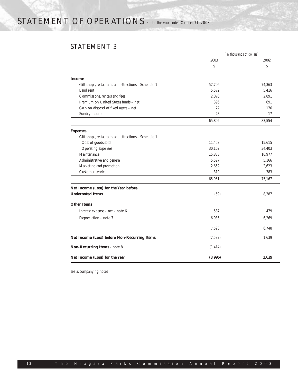# STATEMENT OF OPERATIONS *<sup>~</sup> for the year ended October 31, 2003*

## STATEMENT 3

|                                                      | (In thousands of dollars) |        |  |
|------------------------------------------------------|---------------------------|--------|--|
|                                                      | 2003                      | 2002   |  |
|                                                      | Ś                         | Ŝ      |  |
| <b>Income</b>                                        |                           |        |  |
| Gift shops, restaurants and attractions - Schedule 1 | 57,796                    | 74.363 |  |
| Land rent                                            | 5,572                     | 5,416  |  |
| Commissions, rentals and fees                        | 2,078                     | 2,891  |  |
| Premium on United States funds - net                 | 396                       | 691    |  |
| Gain on disposal of fixed assets - net               | 22                        | 176    |  |
| Sundry income                                        | 28                        | 17     |  |
|                                                      | 65,892                    | 83,554 |  |
| <b>Expenses</b>                                      |                           |        |  |
| Gift shops, restaurants and attractions - Schedule 1 |                           |        |  |
| Cost of goods sold                                   | 11,453                    | 15,615 |  |
| Operating expenses                                   | 30,162                    | 34,403 |  |
| Maintenance                                          | 15,838                    | 16,977 |  |
| Administrative and general                           | 5,527                     | 5,166  |  |
| Marketing and promotion                              | 2,652                     | 2,623  |  |
| Customer service                                     | 319                       | 383    |  |
|                                                      | 65,951                    | 75,167 |  |
| Net Income (Loss) for the Year before                |                           |        |  |
| <b>Undernoted Items</b>                              | (59)                      | 8,387  |  |
| <b>Other Items</b>                                   |                           |        |  |
| Interest expense - net - note 6                      | 587                       | 479    |  |
| Depreciation - note 7                                | 6,936                     | 6,269  |  |
|                                                      | 7,523                     | 6,748  |  |
| Net Income (Loss) before Non-Recurring Items         | (7, 582)                  | 1,639  |  |
| Non-Recurring Items - note 8                         | (1, 414)                  |        |  |
| Net Income (Loss) for the Year                       | (8,996)                   | 1,639  |  |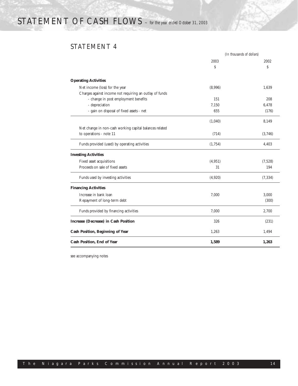# STATEMENT OF CASH FLOWS *<sup>~</sup> for the year ended October 31, 2003*

## STATEMENT 4

|                                                         |          | (In thousands of dollars) |
|---------------------------------------------------------|----------|---------------------------|
|                                                         | 2003     | 2002                      |
|                                                         | Ŝ        | Ŝ                         |
| <b>Operating Activities</b>                             |          |                           |
| Net income (loss) for the year                          | (8,996)  | 1.639                     |
| Charges against income not requiring an outlay of funds |          |                           |
| - change in post employment benefits                    | 151      | 208                       |
| - depreciation                                          | 7,150    | 6.478                     |
| - gain on disposal of fixed assets - net                | 655      | (176)                     |
|                                                         | (1,040)  | 8.149                     |
| Net change in non-cash working capital balances related |          |                           |
| to operations - note 11                                 | (714)    | (3,746)                   |
| Funds provided (used) by operating activities           | (1,754)  | 4,403                     |
| <b>Investing Activities</b>                             |          |                           |
| Fixed asset acquisitions                                | (4, 951) | (7,528)                   |
| Proceeds on sale of fixed assets                        | 31       | 194                       |
| Funds used by investing activities                      | (4,920)  | (7, 334)                  |
| <b>Financing Activities</b>                             |          |                           |
| Increase in bank loan                                   | 7,000    | 3,000                     |
| Repayment of long-term debt                             |          | (300)                     |
| Funds provided by financing activities                  | 7,000    | 2,700                     |
| Increase (Decrease) in Cash Position                    | 326      | (231)                     |
| <b>Cash Position, Beginning of Year</b>                 | 1,263    | 1,494                     |
| Cash Position, End of Year                              | 1,589    | 1,263                     |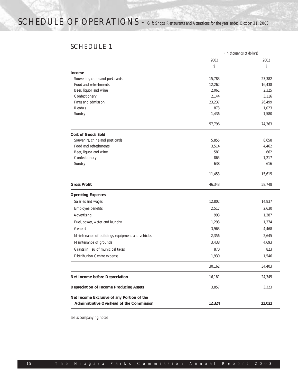## SCHEDULE 1

|                                                  | (In thousands of dollars) |        |
|--------------------------------------------------|---------------------------|--------|
|                                                  | 2003                      | 2002   |
|                                                  | $\mathsf S$               | \$     |
| <b>Income</b>                                    |                           |        |
| Souvenirs, china and post cards                  | 15,783                    | 23,382 |
| Food and refreshments                            | 12,262                    | 16,438 |
| Beer, liquor and wine                            | 2,061                     | 2,325  |
| Confectionery                                    | 2,144                     | 3,116  |
| Fares and admission                              | 23,237                    | 26,499 |
| Rentals                                          | 873                       | 1,023  |
| Sundry                                           | 1,436                     | 1,580  |
|                                                  | 57,796                    | 74,363 |
| <b>Cost of Goods Sold</b>                        |                           |        |
| Souvenirs, china and post cards                  | 5,855                     | 8,658  |
| Food and refreshments                            | 3.514                     | 4,462  |
| Beer, liquor and wine                            | 581                       | 662    |
| Confectionery                                    | 865                       | 1,217  |
| Sundry                                           | 638                       | 616    |
|                                                  | 11,453                    | 15,615 |
| <b>Gross Profit</b>                              | 46,343                    | 58,748 |
| <b>Operating Expenses</b>                        |                           |        |
| Salaries and wages                               | 12,802                    | 14,837 |
| Employee benefits                                | 2,517                     | 2,630  |
| Advertising                                      | 993                       | 1,387  |
| Fuel, power, water and laundry                   | 1,293                     | 1,374  |
| General                                          | 3,963                     | 4,468  |
| Maintenance of buildings, equipment and vehicles | 2,356                     | 2,645  |
| Maintenance of grounds                           | 3,438                     | 4,693  |
| Grants in lieu of municipal taxes                | 870                       | 823    |
| Distribution Centre expense                      | 1,930                     | 1,546  |
|                                                  | 30,162                    | 34,403 |
| <b>Net Income before Depreciation</b>            | 16,181                    | 24,345 |
| <b>Depreciation of Income Producing Assets</b>   | 3,857                     | 3,323  |
| Net Income Exclusive of any Portion of the       |                           |        |
| Administrative Overhead of the Commission        | 12,324                    | 21,022 |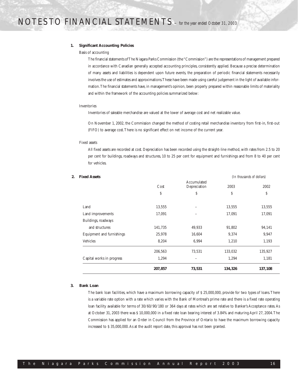#### **1. Significant Accounting Policies**

#### Basis of accounting

The financial statements of The Niagara Parks Commission (the "Commission") are the representations of management prepared in accordance with Canadian generally accepted accounting principles, consistently applied. Because a precise determination of many assets and liabilities is dependent upon future events, the preparation of periodic financial statements necessarily involves the use of estimates and approximations.These have been made using careful judgement in the light of available information.The financial statements have, in management's opinion, been properly prepared within reasonable limits of materiality and within the framework of the accounting policies summarized below:

### Inventories

Inventories of saleable merchandise are valued at the lower of average cost and net realizable value.

On November 1, 2002, the Commission changed the method of costing retail merchandise inventory from first-in, first-out (FIFO) to average cost.There is no significant effect on net income of the current year.

### Fixed assets

All fixed assets are recorded at cost. Depreciation has been recorded using the straight-line method, with rates from 2.5 to 20 per cent for buildings, roadways and structures, 10 to 25 per cent for equipment and furnishings and from 8 to 40 per cent for vehicles.

|                           | 207,857 | 73,531                      | 134,326 | 137,108                   |
|---------------------------|---------|-----------------------------|---------|---------------------------|
| Capital works in progress | 1,294   |                             | 1,294   | 1,181                     |
|                           | 206,563 | 73,531                      | 133,032 | 135,927                   |
| Vehicles                  | 8,204   | 6,994                       | 1,210   | 1,193                     |
| Equipment and furnishings | 25,978  | 16,604                      | 9,374   | 9,947                     |
| and structures            | 141,735 | 49,933                      | 91,802  | 94,141                    |
| Buildings, roadways       |         |                             |         |                           |
| Land improvements         | 17,091  |                             | 17,091  | 17,091                    |
| Land                      | 13,555  |                             | 13,555  | 13,555                    |
|                           | \$      | \$                          | \$      | \$                        |
|                           | Cost    | Accumulated<br>Depreciation | 2003    | 2002                      |
| <b>Fixed Assets</b>       |         |                             |         | (In thousands of dollars) |

## **3. Bank Loan**

The bank loan facilities, which have a maximum borrowing capacity of \$ 25,000,000, provide for two types of loans.There is a variable rate option with a rate which varies with the Bank of Montreal's prime rate and there is a fixed rate operating loan facility available for terms of 30/60/90/180 or 364 days at rates which are set relative to Banker's Acceptance rates. As at October 31, 2003 there was \$ 10,000,000 in a fixed rate loan bearing interest of 3.84% and maturing April 27, 2004.The Commission has applied for an Order in Council from the Province of Ontario to have the maximum borrowing capacity increased to \$ 35,000,000.As at the audit report date, this approval has not been granted.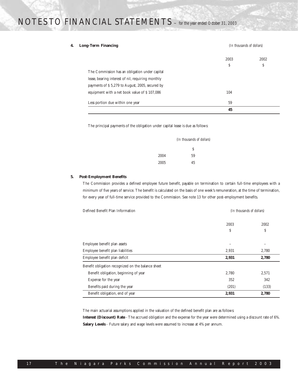## **4. Long-Term Financing** *(In thousands of dollars)* 2003 2002  $\mathsf{s}$  s The Commission has an obligation under capital lease, bearing interest of nil, requiring monthly payments of \$ 5,279 to August, 2005, secured by equipment with a net book value of \$107,086 104 Less portion due within one year 59 **45**

The principal payments of the obligation under capital lease is due as follows:

|      | (In thousands of dollars) |
|------|---------------------------|
|      | Ś                         |
| 2004 | 59                        |
| 2005 | 45                        |

### **5. Post-Employment Benefits**

The Commission provides a defined employee future benefit, payable on termination to certain full-time employees with a minimum of five years of service. The benefit is calculated on the basis of one week's remuneration, at the time of termination, for every year of full-time service provided to the Commission. See note 13 for other post-employment benefits.

| Defined Benefit Plan Information                   | (In thousands of dollars) |       |
|----------------------------------------------------|---------------------------|-------|
|                                                    | 2003                      | 2002  |
|                                                    | S                         | \$    |
| Employee benefit plan assets                       |                           |       |
| Employee benefit plan liabilities                  | 2,931                     | 2,780 |
| Employee benefit plan deficit                      | 2,931                     | 2,780 |
| Benefit obligation recognized on the balance sheet |                           |       |
| Benefit obligation, beginning of year              | 2,780                     | 2,571 |
| Expense for the year                               | 352                       | 342   |
| Benefits paid during the year                      | (201)                     | (133) |
| Benefit obligation, end of year                    | 2,931                     | 2,780 |

The main actuarial assumptions applied in the valuation of the defined benefit plan are as follows:

**Interest (Discount) Rate** - The accrued obligation and the expense for the year were determined using a discount rate of 6%. Salary Levels - Future salary and wage levels were assumed to increase at 4% per annum.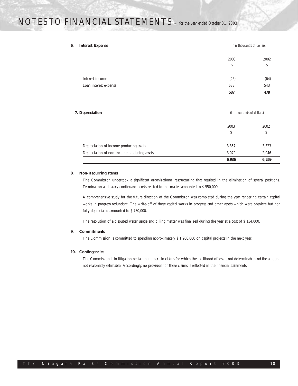### **6. Interest Expense** *(In thousands of dollars)*

| Loan interest expense |           |           |
|-----------------------|-----------|-----------|
|                       | 633       | 543       |
| Interest income       | (46)      | (64)      |
|                       | 2003<br>Ŝ | 2002<br>Ŝ |

### **7. Depreciation** *(In thousands of dollars)*

| 2003<br>S<br>Depreciation of income producing assets<br>3,857<br>Depreciation of non-income producing assets<br>3.079 | 6,936<br>6,269 |
|-----------------------------------------------------------------------------------------------------------------------|----------------|
|                                                                                                                       | 2,946          |
|                                                                                                                       | 3,323          |
|                                                                                                                       | \$             |
|                                                                                                                       | 2002           |

### **8. Non-Recurring Items**

The Commission undertook a significant organizational restructuring that resulted in the elimination of several positions. Termination and salary continuance costs related to this matter amounted to \$ 550,000.

A comprehensive study for the future direction of the Commission was completed during the year rendering certain capital works in progress redundant. The write-off of these capital works in progress and other assets which were obsolete but not fully depreciated amounted to \$ 730,000.

The resolution of a disputed water usage and billing matter was finalized during the year at a cost of \$ 134,000.

### **9. Commitments**

The Commission is committed to spending approximately \$ 1,900,000 on capital projects in the next year.

### **10. Contingencies**

The Commission is in litigation pertaining to certain claims for which the likelihood of loss is not determinable and the amount not reasonably estimable. Accordingly, no provision for these claims is reflected in the financial statements.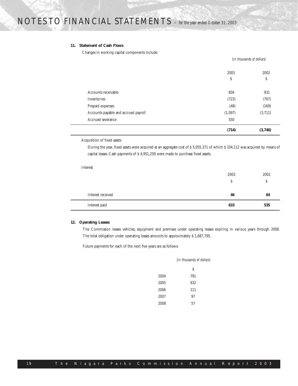## **11. Statement of Cash Flows**

Changes in working capital components include:

|                                      | (In thousands of dollars) |         |
|--------------------------------------|---------------------------|---------|
|                                      | 2003                      | 2002    |
|                                      | \$                        | \$      |
| Accounts receivable                  | 604                       | 931     |
| Inventories                          | (723)                     | (797)   |
| Prepaid expenses                     | (48)                      | (169)   |
| Accounts payable and accrued payroll | (1,097)                   | (3,711) |
| Accrued severance                    | 550                       |         |
|                                      | (714)                     | (3,746) |

Acquisition of fixed assets

During the year, fixed assets were acquired at an aggregate cost of \$ 5,055,371 of which \$ 104,112 was acquired by means of capital leases. Cash payments of \$ 4,951,259 were made to purchase fixed assets.

Interest

|                   | 2003 | 2002 |
|-------------------|------|------|
|                   | S    | S    |
| Interest received | 46   | 64   |
| Interest paid     | 633  | 535  |

## **12. Operating Leases**

The Commission leases vehicles, equipment and premises under operating leases expiring in various years through 2008. The total obligation under operating leases amounts to approximately \$ 1,687,795.

Future payments for each of the next five years are as follows:

|      | (In thousands of dollars) |  |
|------|---------------------------|--|
|      | Ŝ                         |  |
| 2004 | 791                       |  |
| 2005 | 632                       |  |
| 2006 | 111                       |  |
| 2007 | 97                        |  |
| 2008 | 57                        |  |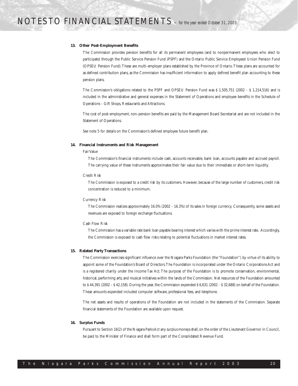#### **13. Other Post-Employment Benefits**

The Commission provides pension benefits for all its permanent employees (and to nonpermanent employees who elect to participate) through the Public Service Pension Fund (PSPF) and the Ontario Public Service Employees' Union Pension Fund (OPSEU Pension Fund).These are multi-employer plans established by the Province of Ontario.These plans are accounted for as defined contribution plans, as the Commission has insufficient information to apply defined benefit plan accounting to these pension plans.

The Commission's obligations related to the PSPF and OPSEU Pension Fund was \$ 1,505,751 (2002 - \$ 1,214,516) and is included in the administrative and general expenses in the Statement of Operations and employee benefits in the Schedule of Operations - Gift Shops, Restaurants and Attractions.

The cost of post-employment, non-pension benefits are paid by the Management Board Secretariat and are not included in the Statement of Operations.

See note 5 for details on the Commission's defined employee future benefit plan.

#### **14. Financial Instruments and Risk Management**

### Fair Value

The Commission's financial instruments include cash, accounts receivable, bank loan, accounts payable and accrued payroll. The carrying value of these instruments approximates their fair value due to their immediate or short-term liquidity.

#### Credit Risk

The Commission is exposed to a credit risk by its customers. However, because of the large number of customers, credit risk concentration is reduced to a minimum.

#### Currency Risk

The Commission realizes approximately 16.0% (2002 - 16.3%) of its sales in foreign currency. Consequently, some assets and revenues are exposed to foreign exchange fluctuations.

#### Cash Flow Risk

The Commission has a variable rate bank loan payable bearing interest which varies with the prime interest rate. Accordingly, the Commission is exposed to cash flow risks relating to potential fluctuations in market interest rates.

#### **15. Related Party Transactions**

The Commission exercises significant influence over the Niagara Parks Foundation (the "Foundation") by virtue of its ability to appoint some of the Foundation's Board of Directors.The Foundation is incorporated under the Ontario Corporations Act and is a registered charity under the Income Tax Act. The purpose of the Foundation is to promote conservation, environmental, historical, performing arts, and musical initiatives within the lands of the Commission. Net resources of the Foundation amounted to \$ 44,391 (2002 - \$ 42,158). During the year, the Commission expended \$ 6,631 (2002 - \$ 32,688) on behalf of the Foundation. These amounts expended included computer software, professional fees, and telephone.

The net assets and results of operations of the Foundation are not included in the statements of the Commission. Separate financial statements of the Foundation are available upon request.

#### **16. Surplus Funds**

Pursuant to Section 16(2) of the Niagara Parks Act any surplus moneys shall, on the order of the Lieutenant Governor in Council, be paid to the Minister of Finance and shall form part of the Consolidated Revenue Fund.